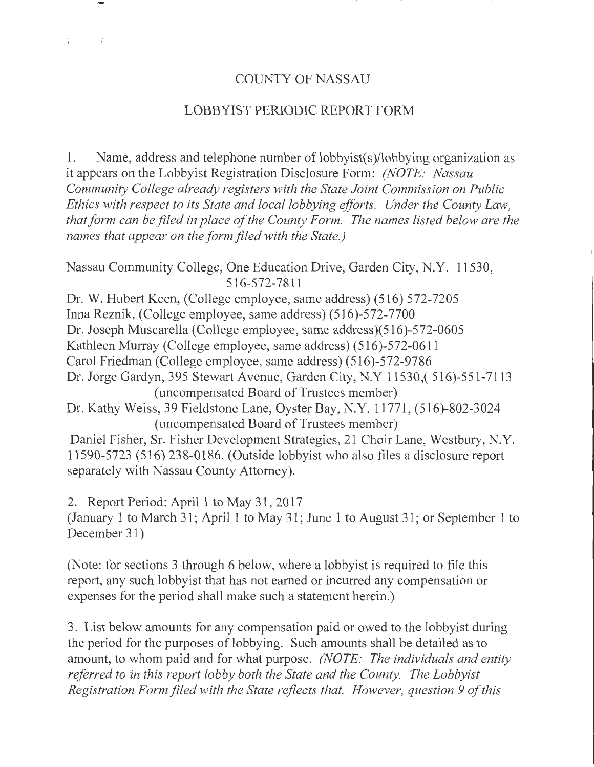# COUNTY OF NASSAU

# LOBBYIST PERIODIC REPORT FORM

1. Name, address and telephone number of lobbyist(s)/lobbying organization as it appears on the Lobbyist Registration Disclosure Form: *(NOTE: Nassau Community College already registers with the State Joint Commission on Public Ethics with respect to its State and local lobbying efforts. Under the County Law, that form can be filed in place of the County Form. The names listed below are the names that appear on the form filed with the State.)* 

Nassau Community College, One Education Drive, Garden City, N.Y. 11530, 516-572-7811

Dr. W. Hubert Keen, (College employee, same address) (516) 572-7205 InnaReznik, (College employee, same address) (516)-572-7700 Dr. Joseph Muscarella (College employee, same address)(516)-572-0605 Kathleen Murray (College employee, same address) (516)-572-0611 Carol Friedman (College employee, same address) (516)-572-9786 Dr. Jorge Gardyn, 395 Stewart Avenue, Garden City, N.Y 11530,( 516)-551-7113 (uncompensated Board of Trustees member) Dr. Kathy Weiss, 39 Fieldstone Lane, Oyster Bay, N.Y. 11771, (516)-802-3024 (uncompensated Board of Trustees member) Daniel Fisher, Sr. Fisher Development Strategies, 21 Choir Lane, Westbury, N.Y. 11590-5723 (516) 238-0186. (Outside lobbyist who also files a disclosure report

separately with Nassau County Attorney).

 $\mathbb{R}^{\mathbb{Z}}$ 

 $\sim 10^6$ 

2. Report Period: April 1 to May 31, 2017 (January 1 to March 31; April 1 to May 31; June 1 to August 31; or September 1 to December 31)

(Note: for sections 3 through 6 below, where a lobbyist is required to file this report, any such lobbyist that has not earned or incurred any compensation or expenses for the period shall make such a statement herein.)

3. List below amounts for any compensation paid or owed to the lobbyist during the period for the purposes of lobbying. Such amounts shall be detailed as to amount, to whom paid and for what purpose. *(NOTE: The individuals and entity referred to in this report lobby both the State and the County. The Lobbyist Registration Form filed with the State reflects that. However, question 9 of this*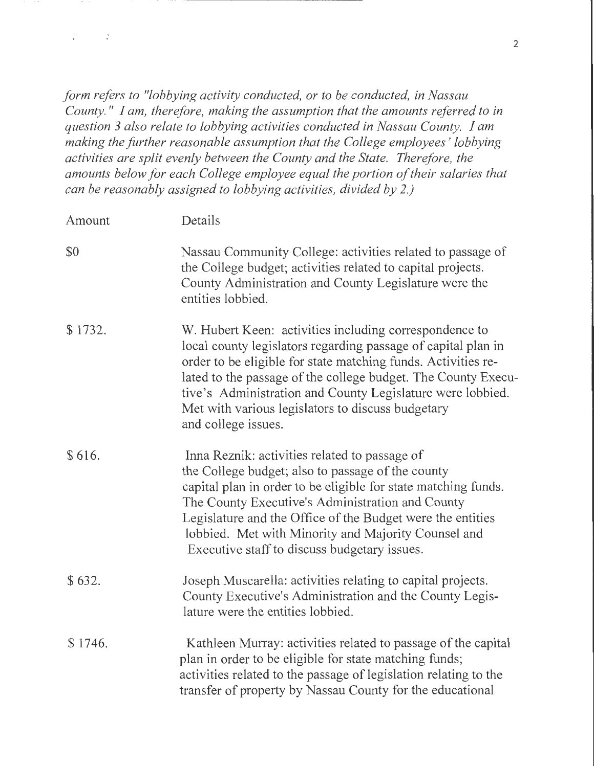*form refers to "lobbying activity conducted, or to be conducted, in Nassau County.* " *I am, therefore, making the assumption that the amounts referred to in question 3 also relate to lobbying activities conducted in Nassau County. I am making the further reasonable assumption that the College employees' lobbying activities are split evenly between the County and the State. Therefore, the amounts below for each College employee equal the portion of their salaries that can be reasonably assigned to lobbying activities, divided by 2.)* 

 $L_{\rm{max}}=L_{\rm{c}}$ 

| Amount  | Details                                                                                                                                                                                                                                                                                                                                                                                             |  |  |  |  |  |
|---------|-----------------------------------------------------------------------------------------------------------------------------------------------------------------------------------------------------------------------------------------------------------------------------------------------------------------------------------------------------------------------------------------------------|--|--|--|--|--|
| \$0     | Nassau Community College: activities related to passage of<br>the College budget; activities related to capital projects.<br>County Administration and County Legislature were the<br>entities lobbied.                                                                                                                                                                                             |  |  |  |  |  |
| \$1732. | W. Hubert Keen: activities including correspondence to<br>local county legislators regarding passage of capital plan in<br>order to be eligible for state matching funds. Activities re-<br>lated to the passage of the college budget. The County Execu-<br>tive's Administration and County Legislature were lobbied.<br>Met with various legislators to discuss budgetary<br>and college issues. |  |  |  |  |  |
| \$616.  | Inna Reznik: activities related to passage of<br>the College budget; also to passage of the county<br>capital plan in order to be eligible for state matching funds.<br>The County Executive's Administration and County<br>Legislature and the Office of the Budget were the entities<br>lobbied. Met with Minority and Majority Counsel and<br>Executive staff to discuss budgetary issues.       |  |  |  |  |  |
| \$632.  | Joseph Muscarella: activities relating to capital projects.<br>County Executive's Administration and the County Legis-<br>lature were the entities lobbied.                                                                                                                                                                                                                                         |  |  |  |  |  |
| \$1746. | Kathleen Murray: activities related to passage of the capital<br>plan in order to be eligible for state matching funds;<br>activities related to the passage of legislation relating to the<br>transfer of property by Nassau County for the educational                                                                                                                                            |  |  |  |  |  |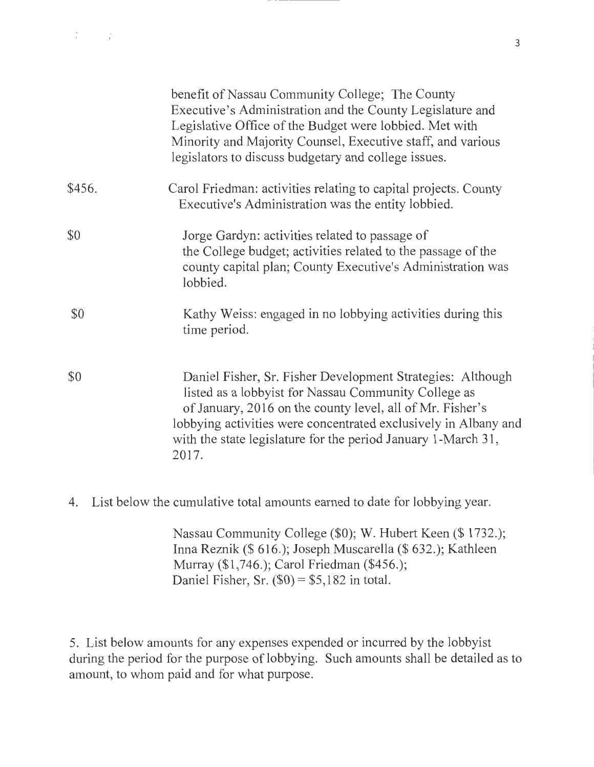|        | benefit of Nassau Community College; The County<br>Executive's Administration and the County Legislature and<br>Legislative Office of the Budget were lobbied. Met with<br>Minority and Majority Counsel, Executive staff, and various<br>legislators to discuss budgetary and college issues.                               |
|--------|------------------------------------------------------------------------------------------------------------------------------------------------------------------------------------------------------------------------------------------------------------------------------------------------------------------------------|
| \$456. | Carol Friedman: activities relating to capital projects. County<br>Executive's Administration was the entity lobbied.                                                                                                                                                                                                        |
| \$0    | Jorge Gardyn: activities related to passage of<br>the College budget; activities related to the passage of the<br>county capital plan; County Executive's Administration was<br>lobbied.                                                                                                                                     |
| \$0    | Kathy Weiss: engaged in no lobbying activities during this<br>time period.                                                                                                                                                                                                                                                   |
| \$0    | Daniel Fisher, Sr. Fisher Development Strategies: Although<br>listed as a lobbyist for Nassau Community College as<br>of January, 2016 on the county level, all of Mr. Fisher's<br>lobbying activities were concentrated exclusively in Albany and<br>with the state legislature for the period January 1-March 31,<br>2017. |

4. List below the cumulative total amounts earned to date for lobbying year.

Nassau Community College (\$0); W. Hubert Keen(\$ 1732.); Inna Reznik(\$ 616.); Joseph Muscarella(\$ 632.); Kathleen Murray (\$1,746.); Carol Friedman (\$456.); Daniel Fisher, Sr.  $(\$0) = \$5,182$  in total.

5. List below amounts for any expenses expended or incurred by the lobbyist during the period for the purpose of lobbying. Such amounts shall be detailed as to amount, to whom paid and for what purpose.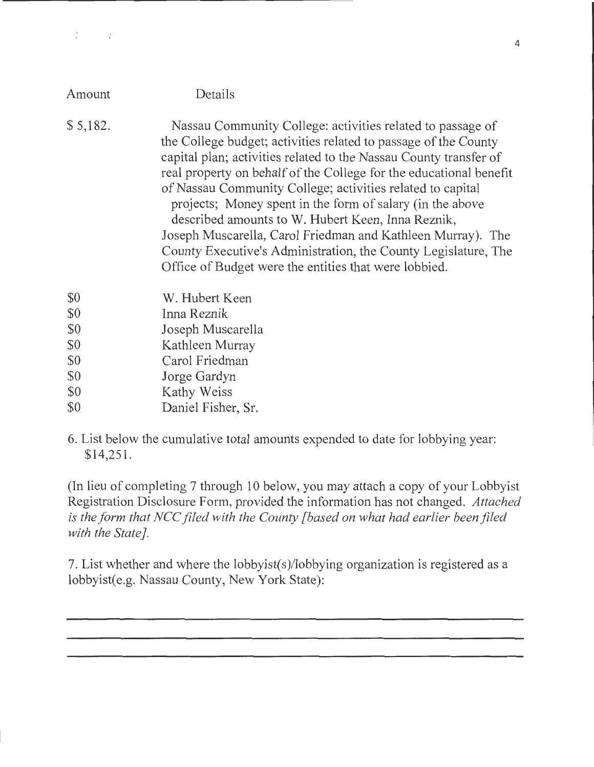| Amount   | Details                                                                                                                                                                                                                                                                                                                                                                                                                                                                                                                                                                                                                                            |
|----------|----------------------------------------------------------------------------------------------------------------------------------------------------------------------------------------------------------------------------------------------------------------------------------------------------------------------------------------------------------------------------------------------------------------------------------------------------------------------------------------------------------------------------------------------------------------------------------------------------------------------------------------------------|
| \$5,182. | Nassau Community College: activities related to passage of<br>the College budget; activities related to passage of the County<br>capital plan; activities related to the Nassau County transfer of<br>real property on behalf of the College for the educational benefit<br>of Nassau Community College; activities related to capital<br>projects; Money spent in the form of salary (in the above<br>described amounts to W. Hubert Keen, Inna Reznik,<br>Joseph Muscarella, Carol Friedman and Kathleen Murray). The<br>County Executive's Administration, the County Legislature, The<br>Office of Budget were the entities that were lobbied. |
| \$0      | W. Hubert Keen                                                                                                                                                                                                                                                                                                                                                                                                                                                                                                                                                                                                                                     |
| \$0      | Inna Reznik                                                                                                                                                                                                                                                                                                                                                                                                                                                                                                                                                                                                                                        |
| \$0      | Joseph Muscarella                                                                                                                                                                                                                                                                                                                                                                                                                                                                                                                                                                                                                                  |
| \$0      | Kathleen Murray                                                                                                                                                                                                                                                                                                                                                                                                                                                                                                                                                                                                                                    |
| \$0      | Carol Friedman                                                                                                                                                                                                                                                                                                                                                                                                                                                                                                                                                                                                                                     |
| \$0      | Jorge Gardyn                                                                                                                                                                                                                                                                                                                                                                                                                                                                                                                                                                                                                                       |

\$0 Kathy Weiss

 $T_{\rm c}$  and  $T_{\rm c}$ 

- \$0 Daniel Fisher, Sr.
- 6. List below the cumulative total amounts expended to date for lobbying year: \$14,251.

(In lieu of completing 7 through 10 below, you may attach a copy of your Lobbyist Registration Disclosure Form, provided the information has not changed. *Attached is the form that NCC filed with the County [based on what had earlier been filed with the State].* 

7. List whether and where the lobbyist(s)/lobbying organization is registered as a lobbyist(e.g. Nassau County, New York State):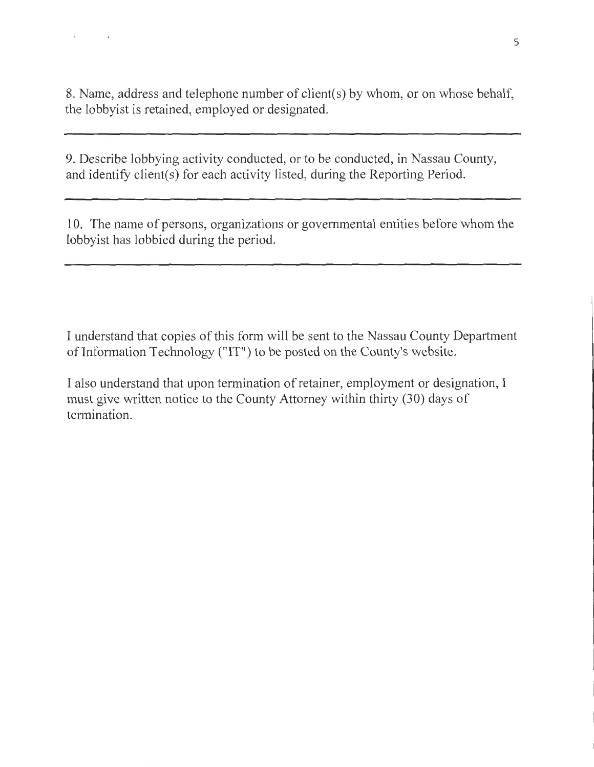$T_{\rm eff} = 100$ 

9. Describe lobbying activity conducted, or to be conducted, in Nassau County, and identify client(s) for each activity listed, during the Reporting Period.

10. The name of persons, organizations or governmental entities before whom the lobbyist has lobbied during the period.

I understand that copies of this form will be sent to the Nassau County Department of Information Technology ("IT") to be posted on the County's website.

I also understand that upon termination of retainer, employment or designation, I must give written notice to the County Attorney within thirty (30) days of termination.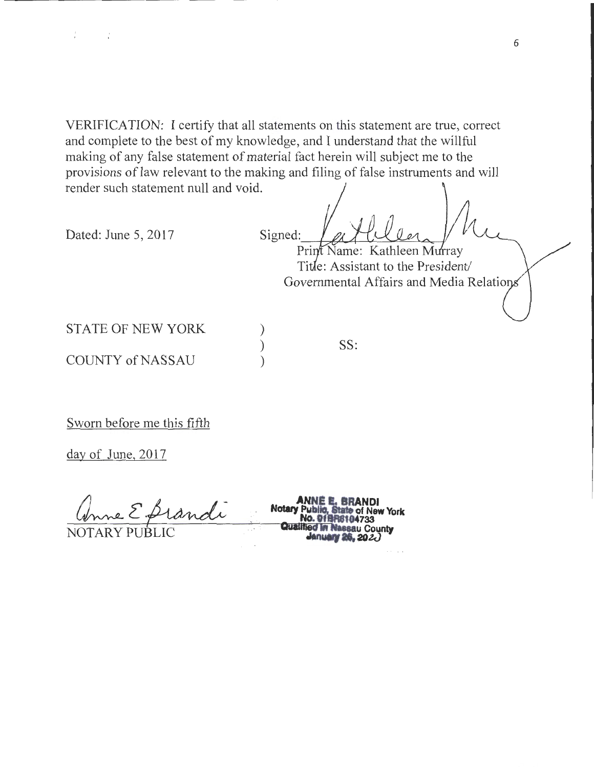VERIFICATION: I certify that all statements on this statement are true, correct and complete to the best of my knowledge, and I understand that the willful making of any false statement of material fact herein will subject me to the provisions of law relevant to the making and filing of false instruments and will render such statement null and void.

> ) ) )

Dated: June 5, 2017 Signed:

 $1 - 1 - 1$ 

Print Name: Kathleen Murray Title: Assistant to the President/ Governmental Affairs and Media Relatio

STATE OF NEW YORK

**COUNTY of NASSAU** 

SS:

Sworn before me this fifth

day of June, 2017

**ANNE E. BRANDI**<br>
Motary Public, State of New York<br>
NOTARY PUBLIC **CONSTRANDING THE NASSEL COUNTRY**<br> **Qualified In Nassel County**<br> **Annuary 26, 2020**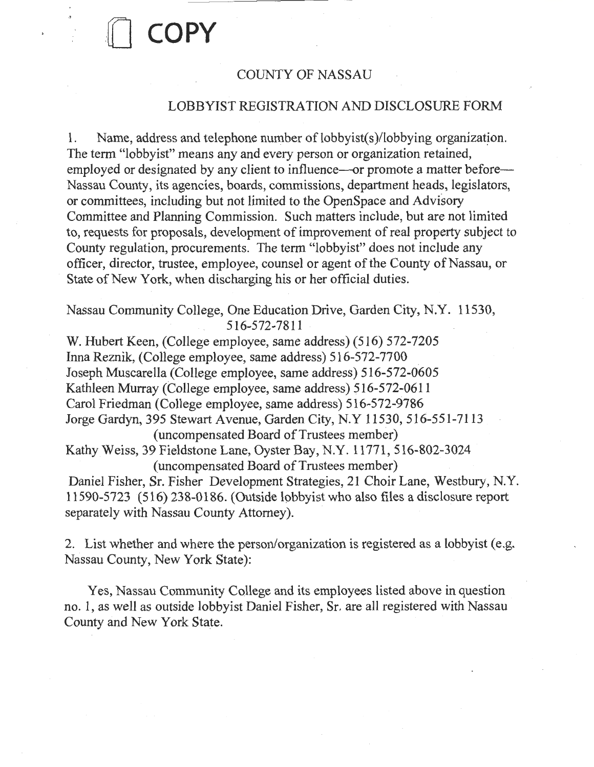## COUNTY OF NASSAU

0 **COPY** 

### LOBBYIST REGISTRATION AND DISCLOSURE FORM

1. Name, address and telephone number of lobbyist(s)/lobbying organization. The term "lobbyist" means any and every person or organization retained, employed or designated by any client to influence—or promote a matter before— Nassau County, its agencies, boards, commissions, department heads, legislators, or committees, including but not limited to the OpenSpace and Advisory Committee and Planning Commission. Such matters include, but are not limited to, requests for proposals, development of improvement of real property subject to County regulation, procurements. The term "lobbyist" does not include any officer, director, trustee, employee, counsel or agent of the County of Nassau, or State of New York, when discharging his or her official duties.

Nassau Community College, One EducationDrive, Garden City, N.Y. 11530, 516-572-7811

W. Hubert Keen, (College employee, same address) (516) 572-7205 Irma Reznik, (College employee, same address) 516-572-7700 Joseph Muscarella (College employee, same address) 516-572-0605 Kathleen Murray (College employee, same address) 516-572-0611 Carol Friedman (College employee, same address) 516-572-9786 Jorge Gardyn, 395 Stewart Avenue, Garden City, N.Y 11530, 516-551-7113 (uncompensated Board of Trustees member) Kathy Weiss, 39 Fieldstone Lane, Oyster Bay, N.Y. 11771, 516-802-3024 (uncompensated Board of Trustees member) Daniel Fisher, Sr. Fisher Development Strategies, 21 Choir Lane, Westbury, N.Y. 11590-5723 (516) 238-0186. (Outside lobbyist who also files a disclosure report separately with Nassau County Attorney).

2. List whether and where the person/organization is registered as a lobbyist (e.g. Nassau County, New York State):

Yes, Nassau Community College and its employees listed above in question no. 1, as well as outside lobbyist Daniel Fisher, Sr. are all registered with Nassau County and New York State.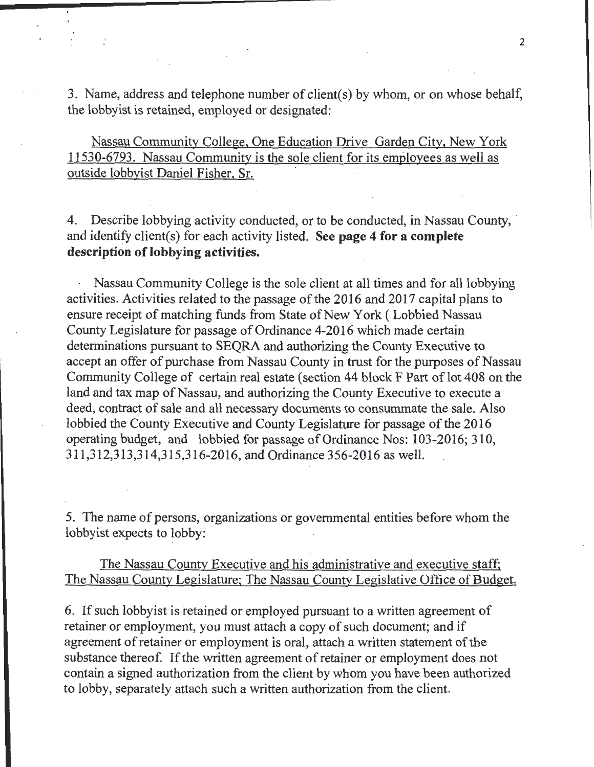3. Name, address and telephone number of client(s) by whom, or on whose behalf, the lobbyist is retained, employed or designated:

Nassau Community College, One Education Drive Garden City, New York 11530-6793. Nassau Community is the sole client for its employees as well as outside lobbyist Daniel Fisher, Sr.

4. Describe lobbying activity conducted, or to be conducted, in Nassau County, and identify client(s) for each activity listed. **See page 4 for a complete description of lobbying activities.** 

Nassau Community College is the sole client at all times and for all lobbying activities. Activities related to the passage of the 2016 and 2017 capital plans to ensure receipt of matching funds from State of New York ( Lobbied Nassau County Legislature for passage of Ordinance 4-2016 which made certain determinations pursuant to SEQRA and authorizing the County Executive to accept an offer of purchase from Nassau County in trust for the purposes of Nassau Community College of certain real estate (section 44 block F Part of lot 408 on the land and tax map of Nassau, and authorizing the County Executive to execute a deed, contract of sale and all necessary documents to consummate the sale. Also lobbied the County Executive and County Legislature for passage of the 2016 operating budget, and lobbied for passage of Ordinance Nos: 103-2016; 310, 311,312,313,314,315,316-2016, and Ordinance 356-2016 as well.

5. The name of persons, organizations or governmental entities before whom the lobbyist expects to lobby:

The Nassau County Executive and his administrative and executive staff; The Nassau County Legislature; The Nassau County Legislative Office of Budget.

6. If such lobbyist is retained or employed pursuant to a written agreement of retainer or employment, you must attach a copy of such document; and if agreement of retainer or employment is oral, attach a written statement of the substance thereof. If the written agreement of retainer or employment does not contain a signed authorization from the client by whom you have been authorized to lobby, separately attach such a written authorization from the client.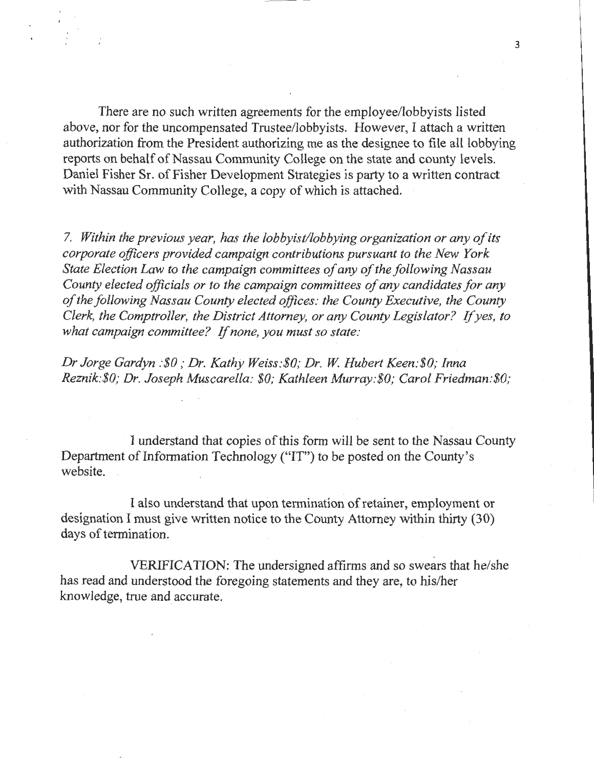There are no such written agreements for the employee/lobbyists listed above, nor for the uncompensated Trustee/lobbyists. However, I attach a written authorization from the President authorizing me as the designee to file all lobbying reports on behalf of Nassau Community College on the state and county levels. Daniel Fisher Sr. of Fisher Development Strategies is party to a written contract with Nassau Community College, a copy of which is attached.

7. *Within the previous year, has the lobbyist/lobbying organization or any of its corporate officers provided campaign contributions pursuant to the New York State Election Law to the campaign committees of any of the following Nassau County elected officials or to the campaign committees of any candidates for any of the following Nassau County elected offices: the County Executive, the County Clerk, the Comptroller, the District Attorney, or any County Legislator? If yes, to*  what campaign committee? If none, you must so state:

*Dr Jorge Gardyn :\$0 ,·Dr. Kathy Weiss:\$0; Dr.* W. *Hubert Keen:\$0; Inna Reznik:\$0,· Dr. Joseph Muscarella: \$0; Kathleen Murray:\$0; Carol Friedman:\$0;* 

I understand that copies of this form will be sent to the Nassau County Department of Information Technology ("IT") to be posted on the County's website.

I also understand that upon termination of retainer, employment or designation I must give written notice to the County Attorney within thirty (30) days of termination.

VERIFICATION: The undersigned affirms and so swears that he/she has read and understood the foregoing statements and they are, to his/her knowledge, true and accurate.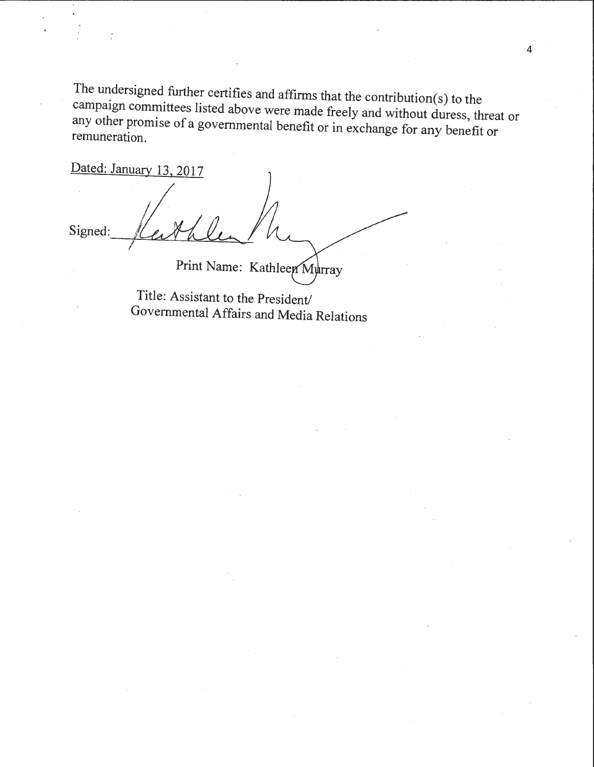The undersigned further certifies and affirms that the contribution(s) to the campaign committees listed above were made freely and without duress, threat or any other promise of a governmental benefit or in exchange for any benefit or remuneration.

Dated: January 13, 2017 Signed: Print Name: Kathleen Murray

Title: Assistant to the President/

Governmental Affairs and Media Relations

4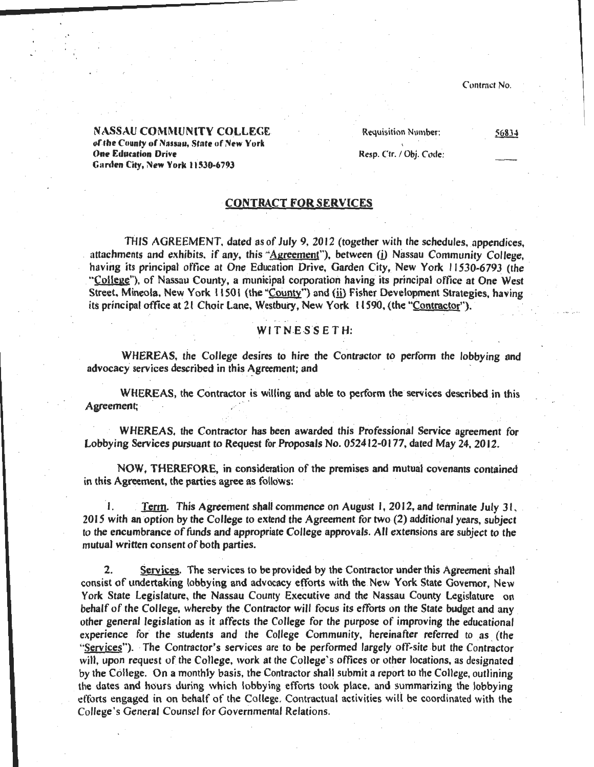#### NASSAU COMMUNITY COLLEGE of the County of Nassau, State of New York **One Education Drive** Garden City, New York 11530-6793

Requisition Number:

56834

Resp. Ctr. / Obj. Code:

### CONTRACT FOR SERVICES

THIS AGREEMENT. dated as of July 9, 2012 (together with the schedules, appendices, . attachments and exhibits, if any, this ''Agreement"), between (i) Nassau Community College, having its principal office at One Education Drive, Garden City, New York 11530-6793 (the "College''), of Nassau County, a municipal corporation having its principal office at One West Street. Mineola, New York 11501 (the "County") and (ii) Fisher Development Strategies, having its principal office at 21 Choir Lane, Westbury, New York 11590, (the "Contractor").

### WITNESSETH:

WHEREAS, the College desires to hire the Contractor to perform the lobbying and advocacy services described in this Agreement; and

WHEREAS, the Contractor is willing and able to perform the services described in this Agreement;

WHEREAS, the Contractor has been awarded this Professional Service agreement for Lobbying Services pursuant to Request for Proposals No. 052412-0177, dated May 24, 2012.

NOW, THEREFORE, in consideration of the premises and mutual covenants contained in this Agreement, the parties agree as follows:

1. Term. This Agreement shall commence on August 1, 2012, and terminate July 31, 20 IS with an option by the CoUege to extend the Agreement for two (2) additional years, subject to the encumbrance of funds and appropriate College approvals. All extensions are subject to the mutual written consent of both parties.

2. Services. The services to be provided by the Contractor under this Agreement shall consist of undertaking lobbying and advocacy efforts with the New York State Governor, New York State Legislature, the Nassau County Executive and the Nassau County Legislature on behalf of the College, whereby the Contractor will focus its efforts on the State budget and any other general legislation as it affects the College for the purpose of improving the educational experience for the students and the College Community, hereinafter referred to as (the "Services"). The Contractor's services are to be performed largely off-site but the Contractor will, upon request of the College, work at the College's offices or other locations, as designated by the College. On a monthly basis, the Contractor shall submit a report to the College, outlining the dates and hours during which lobbying efforts took place, and summarizing the lobbying efforts engaged in on behalf of the College. Contractual activities wili be coordinated with the College 's General Counsel tor Governmental Relations.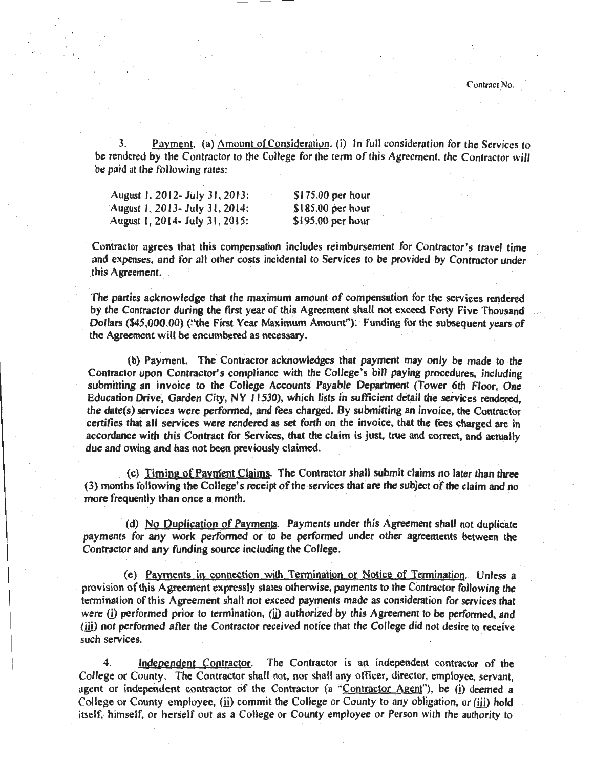3. Payment. (a)  $\Delta$ mount of Consideration. (i) In full consideration for the Services to be rendered by the Contractor to the College for the term of this Agreement, the Contractor will be paid at the following rates:

| August 1, 2012- July 31, 2013:  | $$175.00$ per hour              |
|---------------------------------|---------------------------------|
| August 1, 2013 - July 31, 2014: | $\frac{1}{2}$ \$185.00 per hour |
| August 1, 2014 - July 31, 2015: | $$195.00$ per hour              |

Contractor agrees that this compensation includes reimbursement for Contractor's travel time and expenses, and for all other costs incidental to Services to be provided by Contractor under this Agreement.

The parties acknowledge that the maximum amount of compensation for the services rendered by the Contractor during the first year of this Agreement shall not exceed Forty Five Thousand Dollars (\$45,000.00) ("the First Year Maximum Amount"). Funding for the subsequent years of the Agreement will be encumbered as necessary.

(b) Payment. The Contractor acknowledges that payment may only be made to the Contractor upon Contractor's compliance with the College's bill paying procedures, including submitting an invoice to the College Accounts Payable Department (Tower 6th Floor, One . Education Drive, Garden City, NY 11530), which lists in sufficient detail the services rendered, the date(s) services were performed, and fees charged. By submitting an invoice, the Contractor certifies that all services were rendered as set forth on the invoice, that the fees charged are in accordance with this Contract for Services, that the claim is just, true and correct, and actually due and owing and has not been previously claimed.

(c) Timing of Payment Claims. The Contractor shall submit claims no later than three (3) months following the College's receipt of the services that are the subject of the claim and no more frequently than once a month.

·(d) No Duplication of Payments. Payments under this Agreement shall not duplicate payments for any work performed or to be performed under other agreements between the Contractor and any funding source including the College.

(e) Payments in connection with Termination or Notice of Termination .. Unless a provision of this Agreement expressly states otherwise, payments to the Contractor following the termination of this Agreement shall not exceed payments made as consideration for services that were (i) performed prior to termination, (ii) authorized by this Agreement to be performed, and (iii) not performed after the Contractor received notice that the College did not desire to receive such services.

4. Independent Contractor. The Contractor is an independent contractor of the College or County. The Contractor shall not, nor shall any officer, director, employee, servant, agent or independent contractor of the Contractor (a "Contractor Agent"), be (i) deemed a College or County employee,  $(i)$  commit the College or County to any obligation, or (iii) hold itself, himself, or herself out as a College or County employee or Person with the authority to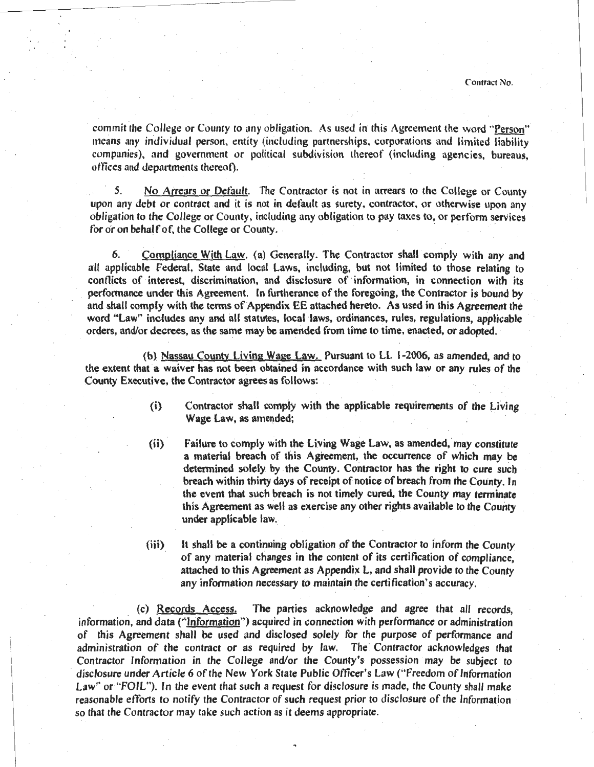commit the College or County to any obligation. As used in this Agreement the word "Person" means any individual person, entity (including partnerships, corporations and limited liability companies), and government or political subdivision thereof (including agencies, bureaus, otlices and departments thereot).

5. No Arrears or Default. The Contractor is not in arrears to the College or County upon any debt or contract and it is not in default as surety, contractor, or otherwise upon any obligation to the College or County, including any obligation to pay taxes to, or perform services for or on behalf of, the College or County.

6. Compliance With Law. (a) Generally. The Contractor shall comply with any and all applicable federal, State and local Laws, including, but not limited to those relating to conflicts of interest, discrimination, and disclosure of information, in connection with its performance under this Agreement. In furtherance of the foregoing, the Contractor is bound by and shall comply with the terms of Appendix EE attached hereto. As used in this Agreement the word "Law" includes any and all statutes, local laws, ordinances, rules, regulations, applicable orders, and/or decrees, as the same may be amended from time to time, enacted, or adopted. ·

(b) Nassau County Living Wage Law. Pursuant to LL 1-2006, as amended, and to the extent that a waiver has not been obtained in accordance with such law or any rules of the County Executive, the Contractor agrees as follows:

- (i) Contractor shall comply with the applicable requirements of the Living Wage Law, as amended;
- (ii) Failure to comply with the Living Wage Law, as amended, may constitute a material breach of this Agreement, the occurrence of which may be determined solely by the County. Contractor has the right to cure such breach within thirty days of receipt of notice of breach from the County. In the event that such breach is not timely cured, the County may terminate this Agreement as well as exercise any other rights available to the County under applicable law.
- (iii) *lt* shall be a continuing obligation of the Contractor to inform the County of any material changes in the content of its certification of compliance, attached to this Agreement as Appendix L, and shall provide to the County any infomiation necessary to maintain the certification's accuracy.

(c) Records Access. The parties acknowledge and agree that all records, information, and data (''Information") acquired in connection with performance or administration of this Agreement shall be used and disclosed solely for the purpose of performance and administration of the contract or as required by law. The' Contractor acknowledges that Contractor Information in the College and/or the County's possession may be subject to disclosure under Article 6 of the New York State Public Officer's Law ("Freedom of Information Law" or "FOIL"). In the event that such a request for disclosure is made, the County shall make reasonable efforts to notify the Contractor of such request prior to disclosure of the Information so that the Contractor may take such action as it deems appropriate.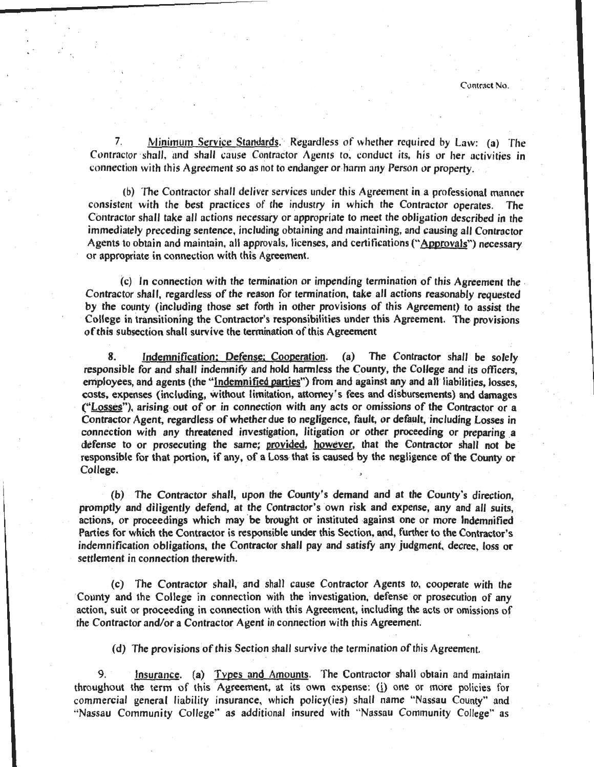7. Minimum Service Standards. Regardless of whether required by Law: (a) The Contractor shall, and shall cause Contractor Agents to, conduct its, his or her activities in connection with this Agreement so as not to endanger or harm any Person or property.

{b) The Contractor shall deliver services under this Agreement in a professional manner consistent with the best practices of the industry in which the Contractor operates. The Contractor shall take all actions necessary or appropriate to meet the obligation described in the immediately preceding sentence, including obtaining and maintaining, and causing all Contractor Agents to obtain and maintain, all approvals, licenses, and certifications ("Approvals") necessary or appropriate in connection with this Agreement.

(c) In connection with the termination or impending termination of this Agreement the Contractor shall, regardless of the reason for termination, take all actions reasonably requested by the county (including those set forth in other provisions of this Agreement) to assist the College in transitioning the Contractor's responsibilities under this Agreement. The provisions ofthis subsection shall survive the termination of this Agreement

8. Indemnification: Defense: Cooperation. (a) The Contractor shall be solely responsible for and shall indemnify and hold harmless the County, the College and its officers, employees, and agents (the "Indemnified parties") from and against any and all liabilities, losses, costs, expenses (including, without limitation, attorney's fees and disbursements) and damages ("Losses"), arising out of or in connection with any acts or omissions of the Contractor or a Contractor Agent, regardless of whether due to negligence, fault, or default, including Losses in connection with any threatened investigation, litigation or other proceeding or preparing a defense to or prosecuting the same; provided, however, that the Contractor shall not be responsible for that portion, if any, of a Loss that is caused by the negligence of the County or College.

(b) The Contractor shall, upon the County's demand and at the County's direction, promptly and diligently defend, at the Contractor's own risk and expense, any and all suits, actions, or proceedings which may 'be brought or instituted against one or more Indemnified Parties for which the Contractor is responsible under this Section, and, further to the Contractor's indemnification obligations, the Contractor shall pay and satisfy any judgment, decree, loss or settlement in connection therewith.

(c) The Contractor shall, and shall cause Contractor Agents to, cooperate with the County and the College in connection with the investigation, defense or prosecution of any action, suit or proceeding in connection with this Agreement, including the acts or omissions of the Contractor and/or a Contractor Agent in connection with this Agreement.

(d) The provisions of this Section shall survive the termination of this Agreement.

9. Insurance. (a) Types and Amounts. The Contractor shall obtain and maintain throughout the term of this Agreement, at its own expense: (i) one or more policies for commercial general liability insurance, which policy(ies) shall name "Nassau County" and 'Nassau Community College'' as additional insured with "Nassau Community College" as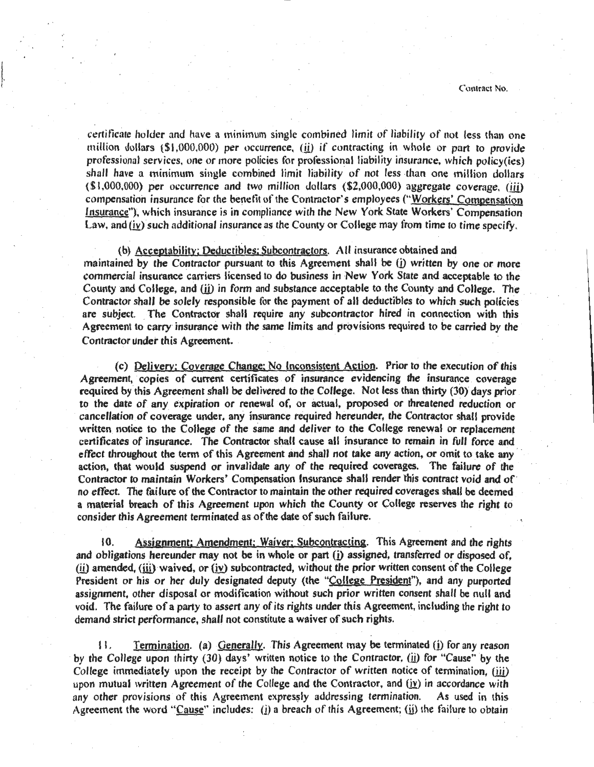**2 Contract No. Contract No. Contract No. Contract No. Contract No. Contract No.** 

certiticate holder and have a minimum single combined limit of liability of not less than one million dollars (\$1 ,000,000) per occurrence, (ii) if contracting in whole or part to provide professional services, one or more policies for professional liability insurance, which policy(ies) shall have a minimum single combined limit liability of not less than one million dollars (\$1,000,000) per occurrence and two million dollars (\$2,000,000) aggregate coverage, (iii) compensation insurance for the benetit of the Contractor's employees ("Workers' Compensation Insurance"), which insurance is in compliance with the New York State Workers' Compensation Law, and  $(iv)$  such additional insurance as the County or College may from time to time specify.

### (b) Acceptability; Deductibles; Subcontractors. All insurance obtained and

I.

maintained by the Contractor pursuant to this Agreement shall be  $(i)$  written by one or more commercial insurance carriers licensed to do business in New York State and acceptable to the County and College, and (ii) in form and substance acceptable to the County and College. The Contractor shall be solely responsible for the payment of all deductibles to which such policies are subject. The Contractor shall require any subcontractor hired in connection with this Agreement to carry insurance with the same limits and provisions required to be carried by the Contractor under this Agreement.

(c) Delivery; Coverage Change; No Inconsistent Action. Prior to the execution of this Agreement, copies of current certificates of insurance evidencing the insurance coverage required by this Agreement shall be delivered to the College. Not less than thirty (30) days prior to the date of any expiration or renewal of, or actual, proposed or threatened reduction or cancellation of coverage under, any insurance required hereunder, the Contractor shall provide written notice to the College of the same and deliver to the College renewal or replacement certificates of insurance. The Contractor shall cause all insurance to remain in full force and effect throughout the term of this Agreement and shall not take any action, or omit to take any action, that would suspend or invalidate any of the required coverages. The failure of the Contractor to maintain Workers' Compensation Insurance shall render this contract void and of· no effect. The failure of the Contractor to maintain the other required coverages shall be deemed a material breach of this Agreement upon which the County or College reserves the right to consider this Agreement terminated as of the date of such failure.

10. Assignment; Amendment; Waiver; Subcontracting. This Agreement and the rights and obligations hereunder may not be in whole or part (i) assigned, transferred or disposed of,  $(i)$  amended,  $(iii)$  waived, or  $(iv)$  subcontracted, without the prior written consent of the College President or his or her duly designated deputy (the "College President"), and any purported assignment, other disposal or modification without such prior written consent shall be null and void. The failure of a party to assert any of its rights under this Agreement, including the right to demand strict performance, shall not constitute a waiver of such rights.

11. Termination. (a) Generally. This Agreement may be terminated (i) for any reason by the College upon thirty (30) days' written notice to the Contractor, (ii) for "Cause" by the College immediately upon the receipt by the Contractor of written notice of termination, (iii) upon mutual written Agreement of the College and the Contractor, and  $(iy)$  in accordance with any other provisions of this Agreement expressly addressing termination. As used in this Agreement the word "Cause" includes: ( $\overline{\textbf{i}}$ ) a breach of this Agreement; ( $\overline{\textbf{i}}$ ) the failure to obtain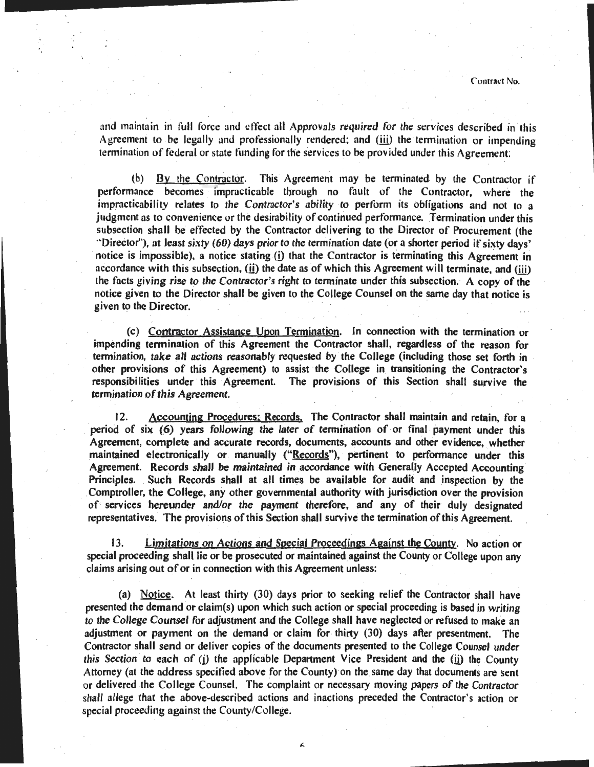and maintain in full force and cftect all Approvals required for the services described in this Agreement to be legally and professionally rendered; and (iii) the termination or impending termination of federal or state funding for the services to be provided under this Agreement

(b)  $\frac{By}{the}$  Contractor. This Agreement may be terminated by the Contractor if performance becomes impracticable through no fault of the Contractor, where the impracticability relates to the Contractor's ability to pertorm its obligations and not to a judgment as to convenience or the desirability of continued performance. Termination under this subsection shall be effected by the Contractor delivering to the Director of Procurement (the '"Director''), at least sixty (60) days prior to the termination date (or a shorter period if sixty days' notice is impossible), a notice stating (j) that the Contractor is terminating this Agreement in accordance with this subsection, (ii) the date as of which this Agreement will terminate, and (iii) the facts giving rise to the Contractor's right to terminate under this subsection. A copy of the notice given to the Director shall be given to the College Counsel on the same day that notice is given to the Director.

(c) Contractor Assistance Upon Termination. In connection with the termination or impending termination of this Agreement the Contractor shall, regardless of the reason for termination, take all actions reasonably requested by the College (including those set forth in other provisions of this Agreement) to assist the College in\_ transitioning the Contractor's responsibilities under this Agreement. The provisions of this Section shall survive the termination of this Agreement.

12. Accounting Procedures; Records. The Contractor shall maintain and retain, for a period of six (6) years following the later of termination of or final payment under this Agreement, complete and accurate records, documents, accounts and other evidence, whether maintained electronically or manually ("Records"), pertinent to performance under this Agreement. Records shall be maintained in accordance with Generally Accepted Accounting Principles. Such Records shall at all times be available for audit and inspection by the Comptroller, the College, any other governmental authority with jurisdiction over the provision of services hereunder and/or the payment therefore, and any of their duly designated representatives. The provisions of this Section shall survive the termination of this Agreement.

13. Limitations on Actions and Special Proceedings Against the County. No action or special proceeding shall lie or be prosecuted or maintained against the County or College upon any claims arising out of or in connection with this Agreement unless:

(a) Notice. At least thirty (30) days prior to seeking relief the Contractor shall have presented the demand or claim(s) upon which such action or special proceeding is based in writing *to* the College Counsel for adjustment and the College shall have neglected or refused to make an adjustment or payment on the demand or claim for thirty (30) days after presentment. The Contractor shall send or deliver copies of the documents presented to the College Counsel under this Section to each of  $(i)$  the applicable Department Vice President and the  $(ii)$  the County Attorney (at the address specitied above for the County) on the same day that documents are sent or delivered the College Counsel. The complaint or necessary moving papers of the Contractor shall allege that the above-described actions and inactions preceded the Contractor's action or special proceeding against the County/College.

L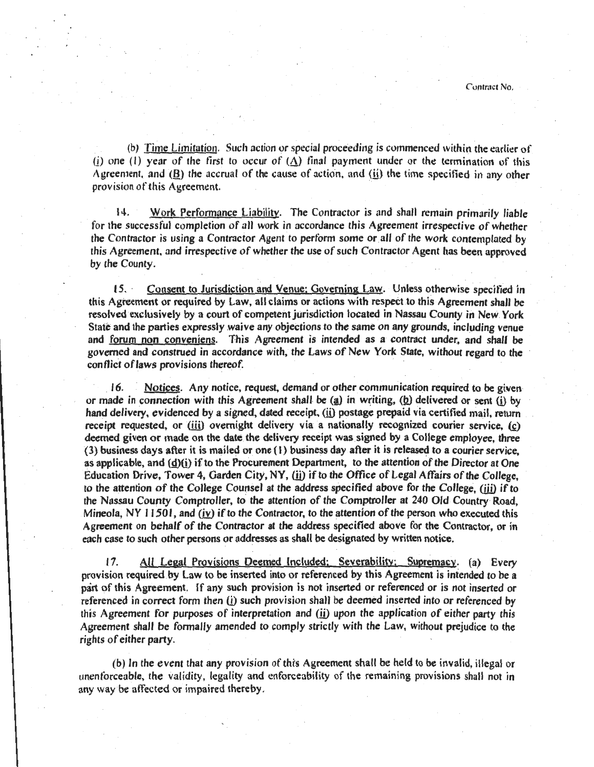(b) Time Limitation. Such action or special proceeding is commenced within the earlier of (i) one (1) year of the first to occur of  $({\Delta})$  final payment under or the termination of this Agreement, and  $(B)$  the accrual of the cause of action, and ( $ii$ ) the time specified in any other provision of this Agreement.

14. Work Performance Liability. The Contractor is and shall remain primarily liable for the successful completion of all work in accordance this Agreement irrespective of whether the Contractor is using a Contractor Agent to perform some or all of the work contemplated by this Agreement, and irrespective of whether the use of such Contractor Agent has been approved by the County.

IS. · Consent to Jurisdiction and Venue; Governing Law. Unless otherwise specitied in this Agreement or required by Law, all claims or actions with respect to this Agreement shall be resolved exclusively by a court of competent jurisdiction located in Nassau County in New York State and the parties expressly waive any objections to the same on any grounds, including venue and forum non conveniens. This Agreement is intended as a contract under, and shall be governed and construed in accordance With, the Laws of New York State, without regard to the conflict of laws provisions thereof.

16. Notices. Any notice, request, demand or other communication required to be given or made in connection with this Agreement shall be (a) in writing, (b) delivered or sent (i) by hand delivery, evidenced by a signed, dated receipt, (ii) postage prepaid via certified mail, return receipt requested, or (iii) overnight delivery via a nationally recognized courier service, (c) deemed given or made on the date. the delivery receipt was signed by a College employee, three (3) business days after it is mailed or one (I) business day after it is released to a courier service, as applicable, and  $(d)(i)$  if to the Procurement Department, to the attention of the Director at One Education Drive, Tower 4, Garden City, NY, (ii) if to the Office of Legal Affairs of the College. to the attention of the College Counsel at the address specified above for the College, (iii) if to the Nassau County Comptroller, to the attention of the Comptroller at 240 Old Country Road, Mineola, NY  $\vert$  1501, and (iv) if to the Contractor, to the attention of the person who executed this Agreement on behalf of the Contractor at the address specified above for the Contractor, or in each case to such other persons or addresses as shall be designated by written notice.

17. All Legal Provisions Deemed Included; Severabilitv; Supremacy. (a) Every provision required by Law to be inserted into or referenced by this Agreement is intended to be a part of this Agreement. If any such provision is not inserted or referenced or is not inserted or referenced in correct form then (i) such provision shall be deemed inserted into or referenced by this Agreement for purposes of interpretation and  $(i)$  upon the application of either party this Agreement shall be formally amended to comply strictly with the Law, without prejudice to the rights of either party.

(b) In the event that any provision of this Agreement shall be held to be invalid, illegal or unenforceable, the validity, legality and enforceability of the remaining provisions shall not in any way be atfected or impaired thereby.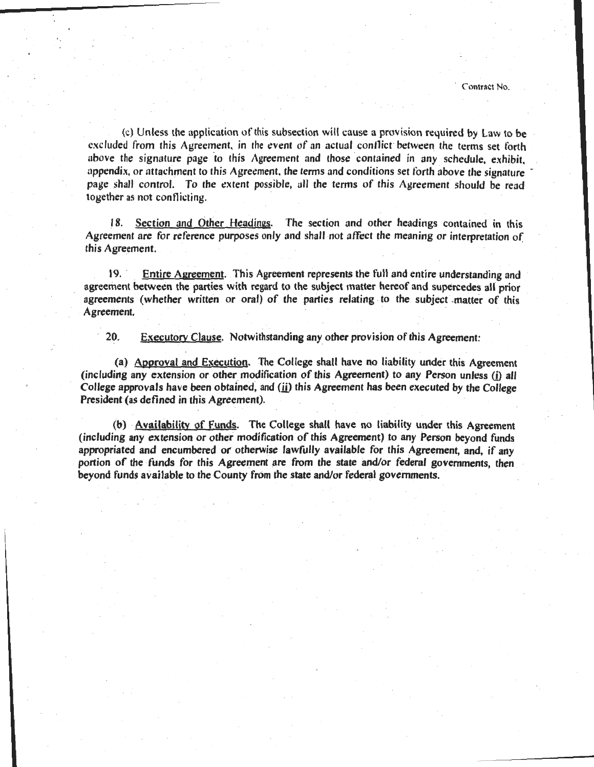(c) Unless the application of this subsection will cause a provision required by law to be excluded from this Agreement, in the event of an actual contlict between the terms set forth above the signature page to this Agreement and those contained in any schedule, exhibit, appendix, or attachment to this Agreement, the terms and conditions set forth above the signature page shall control. To the extent possible, all the terms of this Agreement should be read together as not conflicting.

18. Section and Other Headings. The section and other headings contained in this Agreement are for reference purposes only and shall not atTect the meaning or interpretation of this Agreement.

19. Entire Agreement. This Agreement represents the full and entire understanding and agreement between the parties with regard to the subject matter hereof and supercedes all prior agreements (whether written or oral) of the parties relating to the subject matter of this Agreement.

20. Executory Clause. Notwithstanding any other provision of this Agreement:

(a) Approval and Execution. The College shall have no liability under this Agreement (including any extension or other modification of this Agreement) to any Person unless (j) all College approvals have been obtained, and  $(i)$  this Agreement has been executed by the College President (as defined in this Agreement).

(b) Availability of Funds. The College shall have no liability under this Agreement (including any extension or other modification of this Agreement) to any Person beyond funds appropriated and encumbered or otherwise lawfully available for this Agreement, and, if any portion of the funds for this Agreement are from the state and/or federal governments, then beyond funds available to the County from the state and/or federal governments.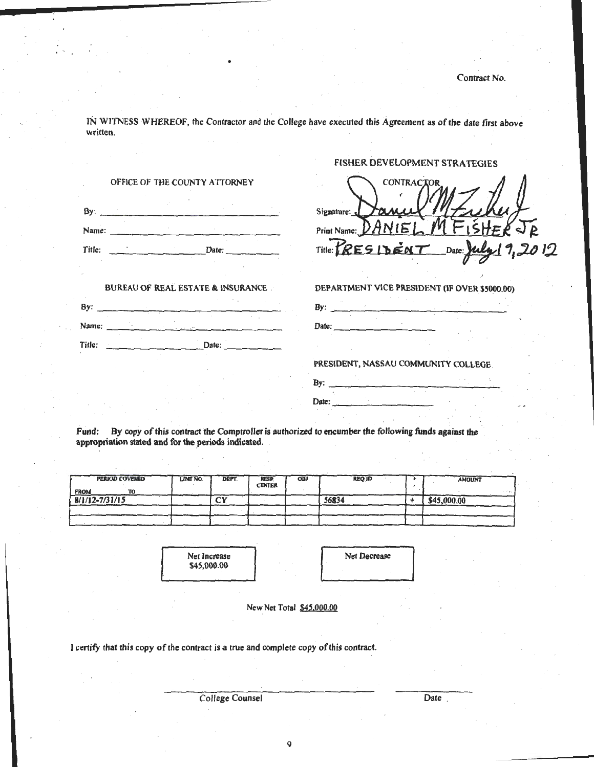FISHER DEVELOPMENT STRATEGIES

IN WITNESS WHEREOF, the Contractor and the College have executed this Agreement as of the date first above written.

•

| OFFICE OF THE COUNTY ATTORNEY                | <b>CONTRACTOR</b>                             |
|----------------------------------------------|-----------------------------------------------|
|                                              | Signature:                                    |
|                                              | Print Name: <i>DANIE</i>                      |
|                                              | Title: PRESIDENT Date: July 1,2012            |
| <b>BUREAU OF REAL ESTATE &amp; INSURANCE</b> | DEPARTMENT VICE PRESIDENT (IF OVER \$5000.00) |
|                                              | By: $\overline{\phantom{a}}$                  |
| Title: Date: Date:                           | Date:                                         |
|                                              | PRESIDENT, NASSAU COMMUNITY COLLEGE.          |
|                                              | By:                                           |
|                                              | Date:                                         |

Fund: By copy of this contract the Comptroller is authorized to encumber the following funds against the appropriation stated and for the periods indicated.

| <b>PERIOD COVERED</b><br><b>FROM</b><br>ĩΟ | LINE NO. | DEPT.   | <b>RESP</b><br><b>CENTER</b> | <b>OBJ</b> | <b>REQ.ID</b> | <b>AMOUNT</b><br>. |
|--------------------------------------------|----------|---------|------------------------------|------------|---------------|--------------------|
| $8/1/12 - 7/31/15$                         |          | гv<br>ັ |                              |            | 56834         | \$45,000.00        |
|                                            |          |         |                              |            |               |                    |
|                                            |          |         |                              |            |               |                    |

Net Increase \$45,000.00



New Net Total \$45,000.00

I certify that this copy of the contract is a true and complete copy of this contract.

College Counsel

Date .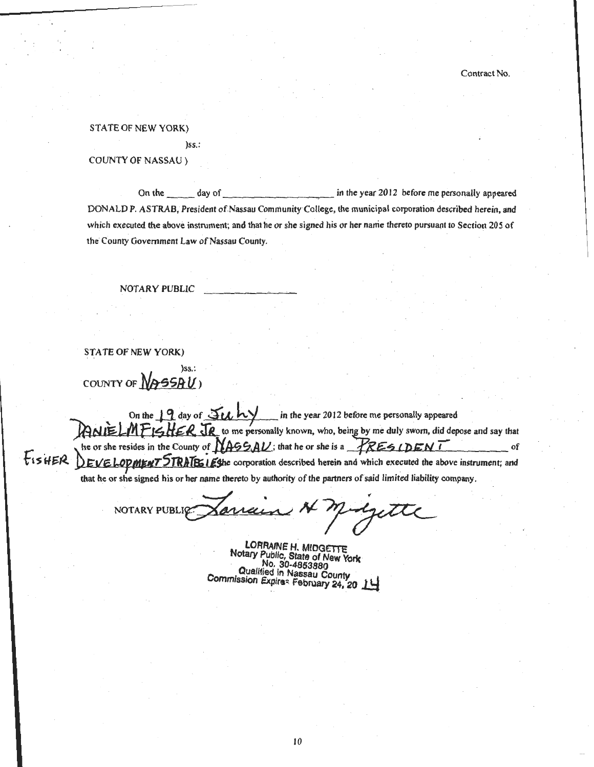STATE OF NEW YORK)

)ss.:

COUNTY OF NASSAU )

On the day of contract the year 2012 before me personally appeared DONALD P. ASTRAB, President of.Nassau Community College, the municipal corporation described herein, and which executed the above instrument; and that he or she signed his or her name thereto pursuant to Section 205 of the County Government Law of Nassau County.

NOTARY PUBLIC

STATE OF NEW YORK)

)ss.: COUNTY OF  $N$ 955A $U$ )

On the  $\frac{1}{2}$  day of  $\frac{1}{2}$  k  $\frac{1}{2}$  in the year 2012 before me personally appeared ANIELMFISHER. JR to me personally known, who, being by me duly sworn, did depose and say that he or she resides in the County of NASS AU; that he or she is a FRES IDEN I he or she resides in the County of **NASSAU**; that he or she is a FRESIDENT Fis HER. DEVELOPMENT STRATES iEshe corporation described herein and which executed the above instrument; and that he or she signed his or her name thereto by authority of the partners ofsaid limited liability company.

NOTARY PUBLIC Jarray  $\overline{A}$ 

LORRAINE H. MIDGETTE<br>Notary Public, State of New York No. 30-4853880<br>Qualified in Nassau County Commission Expires February 24, 20 14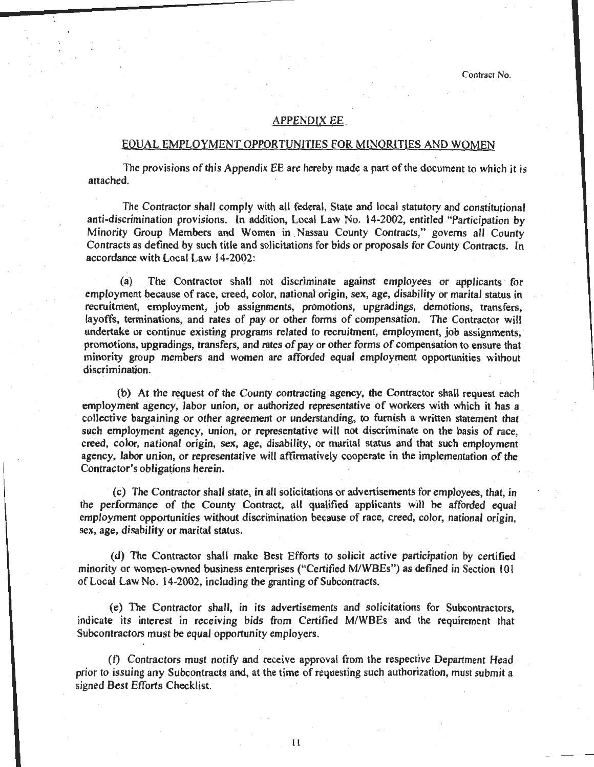#### APPENDIX EE

### EQUAL EMPLOYMENT OPPORTUNITIES FOR MINORITIES AND WOMEN

The provisions of this Appendix EE are hereby made a part of the document to which it is attached.

The Contractor shall comply with all federal, State and local statutory and constitutional anti-discrimination provisions. In addition, Local Law No. 14-2002, entitled "Participation by Minority Group Members and Women in Nassau County Contracts," governs all County Contracts as defined by such title and solicitations for bids or proposals for County Contracts. In accordance with Local Law 14-2002:

(a) The Contractor shall not discriminate against employees or applicants for employment because of race, creed, color, national origin, sex, age, disability or marital status in recruitment, employment, job assignments, promotions, upgradings, demotions, transfers, layoffs, terminations, and rates of pay or other forms of compensation. The Contractor will undertake or continue existing programs related to recruitment, employment, job assignments, promotions, upgradings, transfers, and rates of pay or other forms of compensation to ensure that minority group members and women are afforded equal employment opportunities without discrimination.

(b) At the request of the County contracting agency, the Contractor shall request each employment agency, labor union, or authorized representative of workers with which it has a collective bargaining or other agreement or understanding, to furnish a written statement that . such employment agency, union, or representative will not discriminate on the basis of race, creed, color, national origin, sex, age, disability, or marital status and that such employment agency, labor union, or representative will affirmatively cooperate in the implementation of the Contractor's obligations herein.

(c) The Contractor shall state, in all solicitations or advertisements for employees, that, in the performance of the County Contract, all qualified applicants will be afforded equal employment opportunities without discrimination because of race, creed, color, national origin, sex, age, disability or marital status.

(d) The Contractor shall make Best Efforts to solicit active participation by certified · minority or women-owned business enterprises ("Certified M/WBEs") as defined in Section 101 of Local Law No. 14-2002, including the granting of Subcontracts.

(e) The Contractor shall, in its advertisements and solicitations for Subcontractors, indicate its interest in receiving bids from Certified M/WBEs and the requirement that Subcontractors must be equal opportunity employers.

(t) Contractors must notify and receive approval from the respective Department Head prior to issuing any Subcontracts and, at the time of requesting such authorization, must submit a signed Best Efforts Checklist.

ll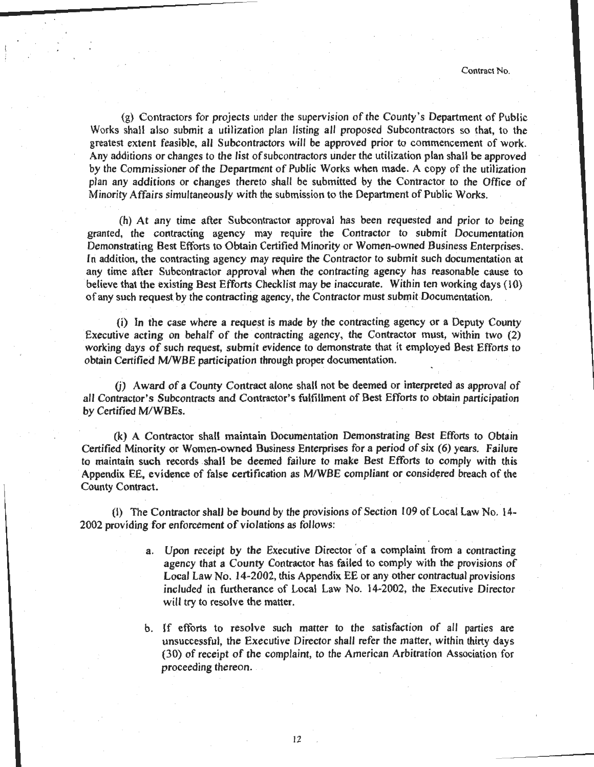(g) Contractors for projects under the supervision of the County's Department of Public Works shall also submit a utilization plan listing all proposed Subcontractors so that, to the greatest extent feasible, all Subcontractors will be approved prior to commencement of work. Any additions or changes to the list of subcontractors under the utilization plan shall be approved by the Commissioner of the Department of Public Works when made. A copy of the utilization plan any additions or changes thereto shall be submitted by the Contractor to the Office of Minority Affairs simultaneously with the submission to the Department of Public Works.

(h) At any time after Subcontractor approval has been requested and prior to being granted, the contracting agency may require the Contractor to submit Documentation Demonstrating Best Efforts to Obtain Certified Minority or Women-owned Business Enterprises. In addition, the contracting agency may require the Contractor to submit such documentation at any time after Subcontractor approval when the contracting agency has reasonable cause to believe that the existing Best Efforts Checklist may be inaccurate. Within ten working days (10) of any such request by the contracting agency, the Contractor must submit Documentation.

 $(i)$  In the case where a request is made by the contracting agency or a Deputy County Executive acting on behalf of the contracting agency, the Contractor must, within two (2) working days of such request, submit evidence to demonstrate that it employed Best Efforts to obtain Certified M/WBE participation through proper documentation.

(j) Award of a County Contract alone shall not be deemed or interpreted as approval of all Contractor's Subcontracts and Contractor's fulfillment of Best Efforts to obtain participation by Certified M/WBEs.

(k) A Contractor shall maintain Documentation Demonstrating Best Efforts to Obtain Certified Minority or Women-owned Business Enterprises for a period of six (6) years. Failure to maintain such records shall be deemed failure to make Best Efforts to comply with this Appendix EE, evidence of false certification as M/WBE compliant or considered breach of the County Contract.

(I) The Contractor shall be bound by the provisions of Section I 09 of Local Law No. 14- 2002 providing for enforcement of violations as follows:

- a. Upon receipt by the Executive Director 'of a complaint from a contracting agency that a County Contractor has failed to comply with the provisions of Local Law No. 14-2002, this Appendix EE or any other contractual provisions included in furtherance of Local Law No. 14-2002, the Executive Director will try to resolve the matter.
- b. If efforts to resolve such matter to the satisfaction of all parties are unsuccessful, the Executive Director shall refer the matter, within thirty days (30) of receipt of the complaint, to the American Arbitration Association for proceeding thereon.

12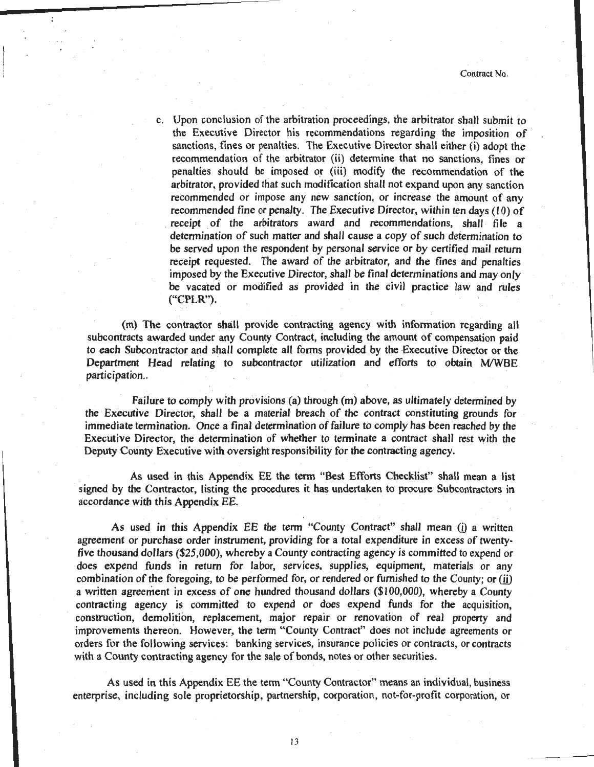c. Upon conclusion of the arbitration proceedings, the arbitrator shall submit to the Executive Director his recommendations regarding the imposition of sanctions, fines or penalties. The Executive Director shall either  $\overrightarrow{ii}$  adopt the recommendation of the arbitrator (ii) determine that no sanctions, fines or penalties should be imposed or (iii) modify the recommendation of the arbitrator, provided that such modification shall not expand upon any sanction recommended or impose any new sanction, or increase the amount of any recommended fine or penalty. The Executive Director, within ten days (10) of receipt of the arbitrators award and recommendations, shall file a determination of such matter and shall cause a copy of such determination to be served upon the respondent by personal service or by certified mail return receipt requested. The award of the arbitrator, and the fines and penalties imposed by the Executive Director, shall be final determinations and may only be vacated or modified as provided in the civil practice law and rules  $('CPLR").$ 

{m) The contractor shall provide contracting agency with information regarding all subcontracts awarded under any County Contract, including the amount of compensation paid to each Subcontractor and shall complete all forms provided by the Executive Director or the Department Head relating to subcontractor utilization and efforts to obtain M/WBE participation..

Failure to comply with provisions (a) through (m) above, as ultimately determined by the Executive Director, shall be a material breach of the contract constituting grounds for immediate termination. Once a final determination of failure to comply has been reached by the Executive Director, the determination of whether to terminate a contract shall rest with the Deputy County Executive with oversight responsibility for the contracting agency.

As used in this Appendix EE the term "Best Efforts Checklist" shall mean a list signed by the Contractor, listing the procedures it has undertaken to procure Subcontractors in accordance with this Appendix EE.

As used in this Appendix EE the term "County Contract" shall mean (i) a written agreement or purchase order instrument, providing for a total expenditure in excess of twentyfive thousand dollars (\$25,000), whereby a County contracting agency is committed to expend or does expend funds in return for labor, services, supplies, equipment, materials or any combination of the foregoing, to be performed for, or rendered or furnished to the County; or (ii) a written agreement in excess of one hundred thousand dollars (\$1 00,000), whereby a County contracting agency is committed to expend or does expend funds for the acquisition. construction, demolition, replacement, major repair or renovation of real property and improvements thereon. However, the term "County Contract" does not include agreements or orders for the following services: banking services, insurance policies or contracts, or contracts with a County contracting agency for the sale of bonds, notes or other securities.

As used in this Appendix EE the term "County Contractor" means an individual, business enterprise, including sole proprietorship, partnership, corporation, not-for-profit corporation, or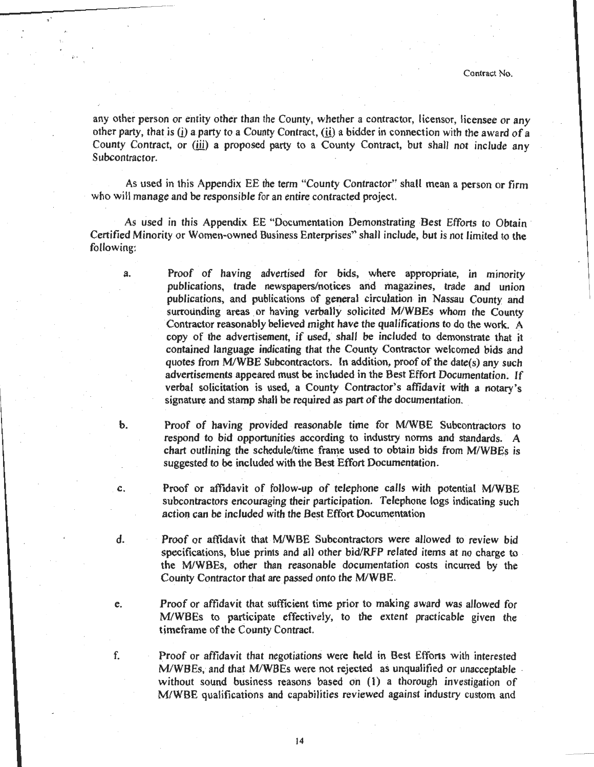any other person or entity other than the County, whether a contractor, licensor, licensee or any other party, that is  $(i)$  a party to a County Contract,  $(ii)$  a bidder in connection with the award of a County Contract, or (iii) a proposed party to a County Contract, but shall not include any Subcontractor.

,,

i· •

As used in this Appendix EE the term "County Contractor" shall mean a person or firm who will manage and be responsible for an entire contracted project.

As used in this Appendix EE "Documentation Demonstrating Best Efforts to Obtain · Certified Minority or Women-owned Business Enterprises" shall include, but is not limited to the following:

- a. Proof of having advertised for bids, where appropriate, in minority publications, trade newspapers/notices and magazines, trade and union publications, and publications of general circulation in Nassau County and surrounding areas or having verbally solicited M/WBEs whom the County Contractor reasonably believed might have the qualifications to do the work. A copy of the advertisement, if used, shall be included to demonstrate that it contained language indicating that the County Contractor welcomed bids and quotes from M/WBE Subcontractors. In addition, proof of the date(s) any such advertisements appeared must be included in the Best Effort Documentation; If verbal solicitation is used, a County Contractor's affidavit with a notary's signature and stamp shall be required as part of the documentation.
- b. Proof of having provided reasonable time for M/WBE Subcontractors to respond to bid opportunities according to industry norms and standards. A chart outlining the schedule/time frame used to obtain bids from M/WBEs is suggested to be included with the Best Effort Documentation.
- c. Proof or affidavit of follow-up of telephone calls with potential M/WBE subcontractors encouraging their participation. Telephone logs indicating such action can be included with the Best Effort Documentation
- d. Proof or affidavit that M/WBE Subcontractors were allowed to review bid specifications, blue prints and all other bid/RFP related items at no charge to the M/WBEs, other than reasonable documentation costs incurred by the County Contractor that are passed onto the M/WBE.
- e. Proof or affidavit that sufficient time prior to making award was allowed for M/WBEs to participate effectively, to the extent practicable given the timeframe of the County Contract.
- f. Proof or affidavit that negotiations were held in Best Efforts with interested M/WBEs, and that M/WBEs were not rejected as unqualified or unacceptable . without sound business reasons based on (1) a thorough investigation of M/WBE qualifications and capabilities reviewed against industry custom and

14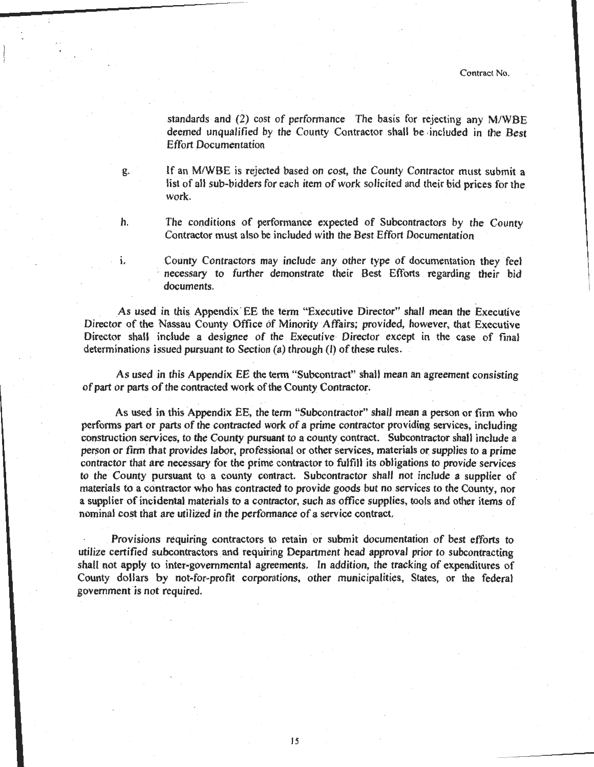standards and (2) cost of performance The basis for rejecting any M/WBE deemed unqualified by the County Contractor shall be included in the Best Effort Documentation

g. If an M/WBE is rejected based on cost, the County Contractor must submit a list of all sub-bidders for each item of work solicited and their bid prices for the work.

h. The conditions of performance expected of Subcontractors by the County Contractor must also be included with the Best Effort Documentation

1. County Contractors may include any other type of documentation they feel necessary to further demonstrate their Best Efforts regarding their bid documents.

As used in this Appendix· EE the term "Executive Director" shall mean the Executive Director of the Nassau County Office of Minority Affairs; provided, however, that Executive Director shall include a designee of the Executive Director except in the case of final determinations issued pursuant to Section (a) through (I) of these rules.

As used in this Appendix EE the term "Subcontract" shall mean an agreement consisting of part or parts of the contracted work of the County Contractor.

As used in this Appendix EE, the term "Subcontractor" shall mean a person or firm who perfonns part or parts of the contracted work of a prime contractor providing services, including construction services, to the County pursuant to a county contract. Subcontractor shall include a person or firm that provides labor, professional or other services, materials or supplies to a prime contractor that are necessary for the prime contractor to fulfill its obligations to provide services to the County pursuant to a county contract. Subcontractor shall not include a supplier of materials to a contractor who has contracted to provide goods but no services to the County, nor a supplier of incidental materials to a contractor, such as office supplies, tools and other items of nominal cost that are utilized in the performance of a service contract.

. Provisions requiring contractors to retain or submit documentation of best efforts to utilize certified subcontractors and requiring Department head approval prior to subcontracting shall not apply to inter-governmental agreements. In addition, the tracking of expenditures of County dollars by not-for-profit corporations, other municipalities, States, or the federal government is not required.